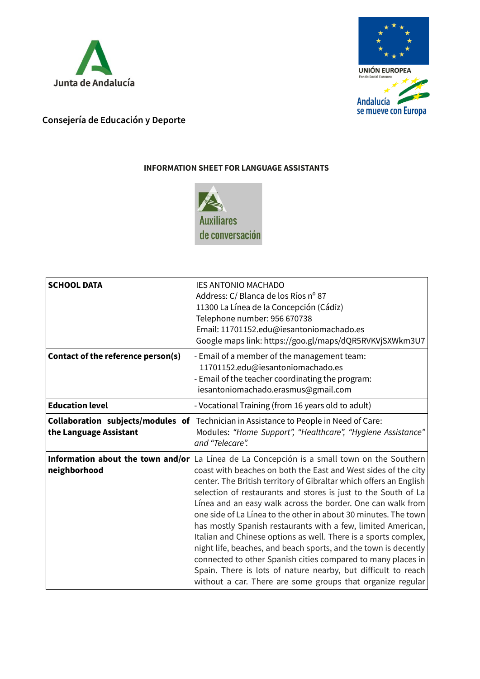



## **Consejería de Educación y Deporte**

## **INFORMATION SHEET FOR LANGUAGE ASSISTANTS**



| <b>SCHOOL DATA</b>                                          | <b>IES ANTONIO MACHADO</b><br>Address: C/ Blanca de los Ríos nº 87<br>11300 La Línea de la Concepción (Cádiz)<br>Telephone number: 956 670738<br>Email: 11701152.edu@iesantoniomachado.es<br>Google maps link: https://goo.gl/maps/dQR5RVKVjSXWkm3U7                                                                                                                                                                                                                                                                                                                                                                                                                                                                                                                                                                                                          |
|-------------------------------------------------------------|---------------------------------------------------------------------------------------------------------------------------------------------------------------------------------------------------------------------------------------------------------------------------------------------------------------------------------------------------------------------------------------------------------------------------------------------------------------------------------------------------------------------------------------------------------------------------------------------------------------------------------------------------------------------------------------------------------------------------------------------------------------------------------------------------------------------------------------------------------------|
| Contact of the reference person(s)                          | - Email of a member of the management team:<br>11701152.edu@iesantoniomachado.es<br>- Email of the teacher coordinating the program:<br>iesantoniomachado.erasmus@gmail.com                                                                                                                                                                                                                                                                                                                                                                                                                                                                                                                                                                                                                                                                                   |
| <b>Education level</b>                                      | - Vocational Training (from 16 years old to adult)                                                                                                                                                                                                                                                                                                                                                                                                                                                                                                                                                                                                                                                                                                                                                                                                            |
| Collaboration subjects/modules of<br>the Language Assistant | Technician in Assistance to People in Need of Care:<br>Modules: "Home Support", "Healthcare", "Hygiene Assistance"<br>and "Telecare".                                                                                                                                                                                                                                                                                                                                                                                                                                                                                                                                                                                                                                                                                                                         |
| neighborhood                                                | <b>Information about the town and/or</b> $\lfloor$ La Línea de La Concepción is a small town on the Southern<br>coast with beaches on both the East and West sides of the city<br>center. The British territory of Gibraltar which offers an English<br>selection of restaurants and stores is just to the South of La<br>Línea and an easy walk across the border. One can walk from<br>one side of La Línea to the other in about 30 minutes. The town<br>has mostly Spanish restaurants with a few, limited American,<br>Italian and Chinese options as well. There is a sports complex,<br>night life, beaches, and beach sports, and the town is decently<br>connected to other Spanish cities compared to many places in<br>Spain. There is lots of nature nearby, but difficult to reach<br>without a car. There are some groups that organize regular |